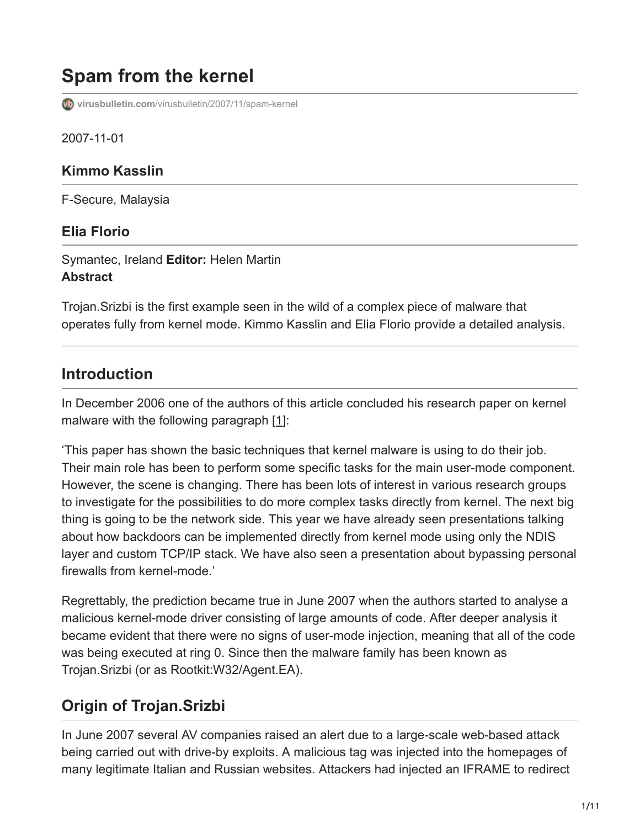# **Spam from the kernel**

**virusbulletin.com**[/virusbulletin/2007/11/spam-kernel](https://www.virusbulletin.com/virusbulletin/2007/11/spam-kernel)

2007-11-01

### **Kimmo Kasslin**

F-Secure, Malaysia

### **Elia Florio**

Symantec, Ireland **Editor:** Helen Martin **Abstract**

Trojan.Srizbi is the first example seen in the wild of a complex piece of malware that operates fully from kernel mode. Kimmo Kasslin and Elia Florio provide a detailed analysis.

### **Introduction**

In December 2006 one of the authors of this article concluded his research paper on kernel malware with the following paragraph [1]:

'This paper has shown the basic techniques that kernel malware is using to do their job. Their main role has been to perform some specific tasks for the main user-mode component. However, the scene is changing. There has been lots of interest in various research groups to investigate for the possibilities to do more complex tasks directly from kernel. The next big thing is going to be the network side. This year we have already seen presentations talking about how backdoors can be implemented directly from kernel mode using only the NDIS layer and custom TCP/IP stack. We have also seen a presentation about bypassing personal firewalls from kernel-mode.'

Regrettably, the prediction became true in June 2007 when the authors started to analyse a malicious kernel-mode driver consisting of large amounts of code. After deeper analysis it became evident that there were no signs of user-mode injection, meaning that all of the code was being executed at ring 0. Since then the malware family has been known as Trojan.Srizbi (or as Rootkit:W32/Agent.EA).

# **Origin of Trojan.Srizbi**

In June 2007 several AV companies raised an alert due to a large-scale web-based attack being carried out with drive-by exploits. A malicious tag was injected into the homepages of many legitimate Italian and Russian websites. Attackers had injected an IFRAME to redirect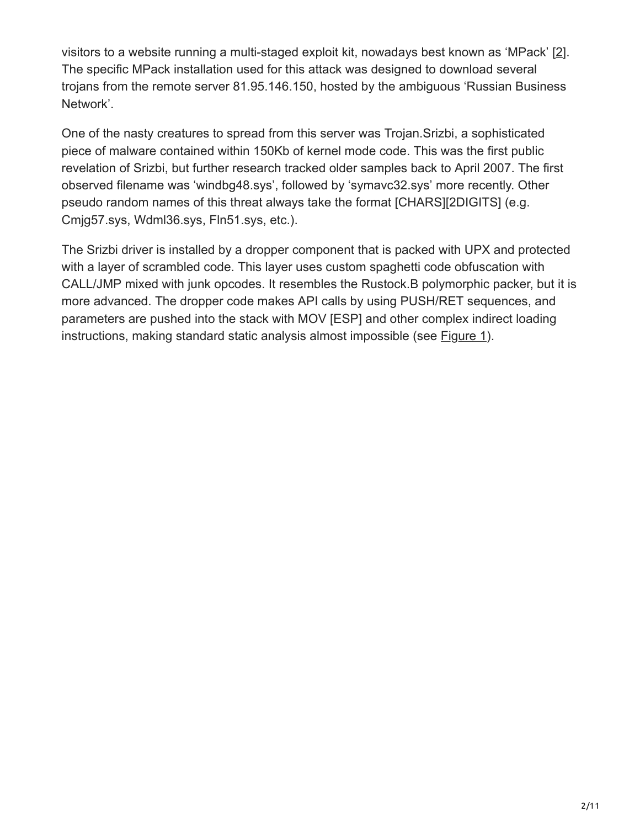visitors to a website running a multi-staged exploit kit, nowadays best known as 'MPack' [2]. The specific MPack installation used for this attack was designed to download several trojans from the remote server 81.95.146.150, hosted by the ambiguous 'Russian Business Network'.

One of the nasty creatures to spread from this server was Trojan.Srizbi, a sophisticated piece of malware contained within 150Kb of kernel mode code. This was the first public revelation of Srizbi, but further research tracked older samples back to April 2007. The first observed filename was 'windbg48.sys', followed by 'symavc32.sys' more recently. Other pseudo random names of this threat always take the format [CHARS][2DIGITS] (e.g. Cmjg57.sys, Wdml36.sys, Fln51.sys, etc.).

The Srizbi driver is installed by a dropper component that is packed with UPX and protected with a layer of scrambled code. This layer uses custom spaghetti code obfuscation with CALL/JMP mixed with junk opcodes. It resembles the Rustock.B polymorphic packer, but it is more advanced. The dropper code makes API calls by using PUSH/RET sequences, and parameters are pushed into the stack with MOV [ESP] and other complex indirect loading instructions, making standard static analysis almost impossible (see Figure 1).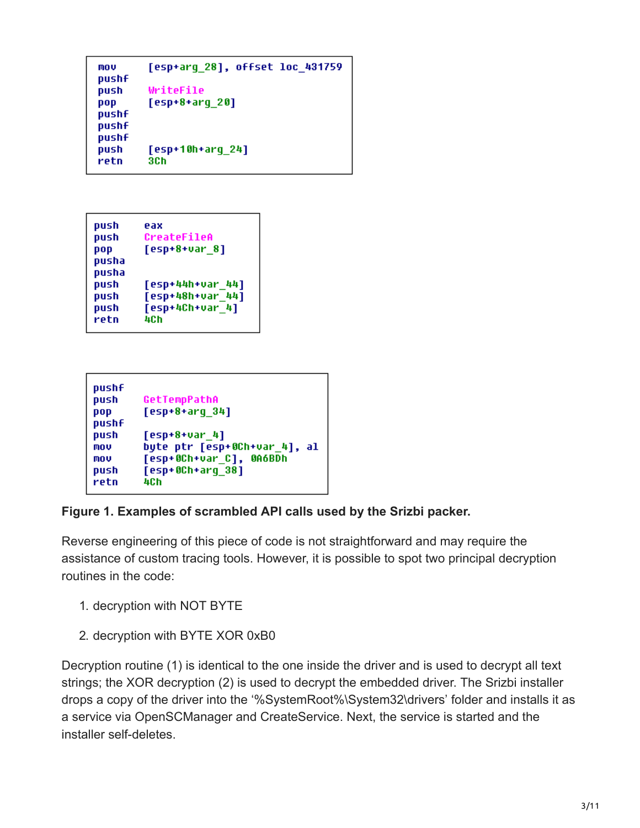```
mov
        [esp+arg_28], offset loc_431759
pushf
push
        WriteFile
         [esp+8+arg_20]pop
pushf
pushf
pushf
push
         [esp+10h+arg_24]retn
        3C<sub>b</sub>
```

| push<br>push<br>pop<br>pusha<br>pusha | eax<br>CreateFileA<br>$[esp+8+var_8]$ |
|---------------------------------------|---------------------------------------|
| push                                  | [esp+44h+var_44]                      |
| push                                  | [esp+48h+var_44]                      |
| push                                  | [esp+4Ch+var_4]                       |
| retn                                  | 4Ch                                   |

```
pushf
push
        GetTempPathA
        [esp+8+arg_34]pop
pushf
        [esp+8+var_4]push
        byte ptr [esp+0Ch+var_4], al
mou
mou
        [esp+0Ch+var_C], 0A6BDh
push
        [esp+0Ch+arg 38]retn
        4Ch
```
#### **Figure 1. Examples of scrambled API calls used by the Srizbi packer.**

Reverse engineering of this piece of code is not straightforward and may require the assistance of custom tracing tools. However, it is possible to spot two principal decryption routines in the code:

- 1. decryption with NOT BYTE
- 2. decryption with BYTE XOR 0xB0

Decryption routine (1) is identical to the one inside the driver and is used to decrypt all text strings; the XOR decryption (2) is used to decrypt the embedded driver. The Srizbi installer drops a copy of the driver into the '%SystemRoot%\System32\drivers' folder and installs it as a service via OpenSCManager and CreateService. Next, the service is started and the installer self-deletes.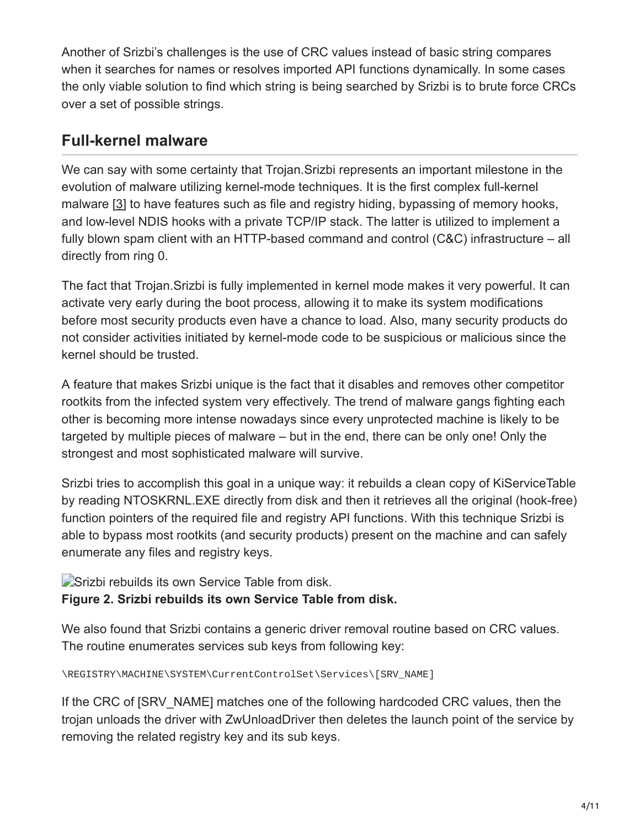Another of Srizbi's challenges is the use of CRC values instead of basic string compares when it searches for names or resolves imported API functions dynamically. In some cases the only viable solution to find which string is being searched by Srizbi is to brute force CRCs over a set of possible strings.

### **Full-kernel malware**

We can say with some certainty that Trojan.Srizbi represents an important milestone in the evolution of malware utilizing kernel-mode techniques. It is the first complex full-kernel malware [3] to have features such as file and registry hiding, bypassing of memory hooks, and low-level NDIS hooks with a private TCP/IP stack. The latter is utilized to implement a fully blown spam client with an HTTP-based command and control (C&C) infrastructure – all directly from ring 0.

The fact that Trojan.Srizbi is fully implemented in kernel mode makes it very powerful. It can activate very early during the boot process, allowing it to make its system modifications before most security products even have a chance to load. Also, many security products do not consider activities initiated by kernel-mode code to be suspicious or malicious since the kernel should be trusted.

A feature that makes Srizbi unique is the fact that it disables and removes other competitor rootkits from the infected system very effectively. The trend of malware gangs fighting each other is becoming more intense nowadays since every unprotected machine is likely to be targeted by multiple pieces of malware – but in the end, there can be only one! Only the strongest and most sophisticated malware will survive.

Srizbi tries to accomplish this goal in a unique way: it rebuilds a clean copy of KiServiceTable by reading NTOSKRNL.EXE directly from disk and then it retrieves all the original (hook-free) function pointers of the required file and registry API functions. With this technique Srizbi is able to bypass most rootkits (and security products) present on the machine and can safely enumerate any files and registry keys.

### Srizbi rebuilds its own Service Table from disk. **Figure 2. Srizbi rebuilds its own Service Table from disk.**

We also found that Srizbi contains a generic driver removal routine based on CRC values. The routine enumerates services sub keys from following key:

\REGISTRY\MACHINE\SYSTEM\CurrentControlSet\Services\[SRV\_NAME]

If the CRC of [SRV] NAME] matches one of the following hardcoded CRC values, then the trojan unloads the driver with ZwUnloadDriver then deletes the launch point of the service by removing the related registry key and its sub keys.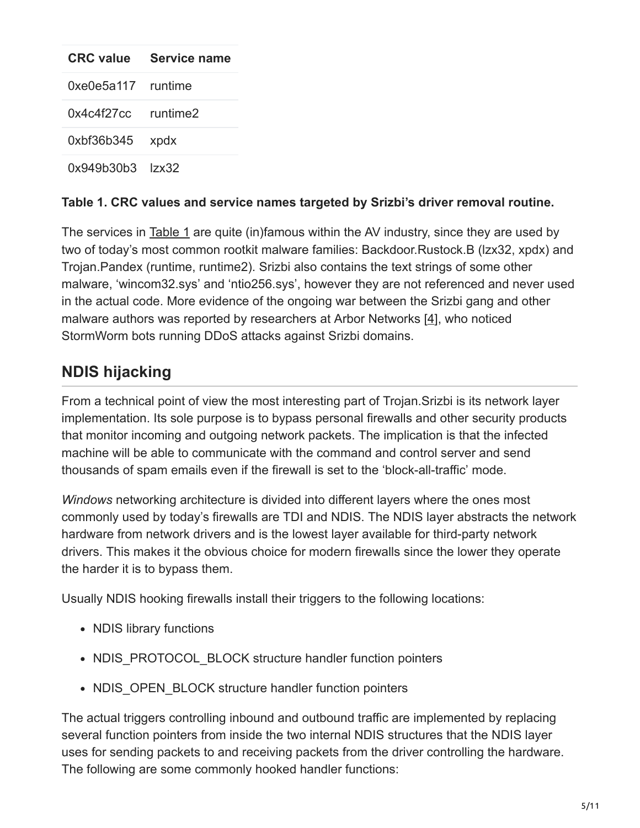| <b>CRC value</b> | Service name |
|------------------|--------------|
| 0xe0e5a117       | runtime      |
| 0x4c4f27cc       | runtime?     |
| 0xbf36b345       | xpdx         |
| 0x949b30b3 lzx32 |              |

#### **Table 1. CRC values and service names targeted by Srizbi's driver removal routine.**

The services in **Table 1** are quite (in)famous within the AV industry, since they are used by two of today's most common rootkit malware families: Backdoor.Rustock.B (lzx32, xpdx) and Trojan.Pandex (runtime, runtime2). Srizbi also contains the text strings of some other malware, 'wincom32.sys' and 'ntio256.sys', however they are not referenced and never used in the actual code. More evidence of the ongoing war between the Srizbi gang and other malware authors was reported by researchers at Arbor Networks [4], who noticed StormWorm bots running DDoS attacks against Srizbi domains.

# **NDIS hijacking**

From a technical point of view the most interesting part of Trojan.Srizbi is its network layer implementation. Its sole purpose is to bypass personal firewalls and other security products that monitor incoming and outgoing network packets. The implication is that the infected machine will be able to communicate with the command and control server and send thousands of spam emails even if the firewall is set to the 'block-all-traffic' mode.

*Windows* networking architecture is divided into different layers where the ones most commonly used by today's firewalls are TDI and NDIS. The NDIS layer abstracts the network hardware from network drivers and is the lowest layer available for third-party network drivers. This makes it the obvious choice for modern firewalls since the lower they operate the harder it is to bypass them.

Usually NDIS hooking firewalls install their triggers to the following locations:

- NDIS library functions
- NDIS\_PROTOCOL\_BLOCK structure handler function pointers
- NDIS OPEN BLOCK structure handler function pointers

The actual triggers controlling inbound and outbound traffic are implemented by replacing several function pointers from inside the two internal NDIS structures that the NDIS layer uses for sending packets to and receiving packets from the driver controlling the hardware. The following are some commonly hooked handler functions: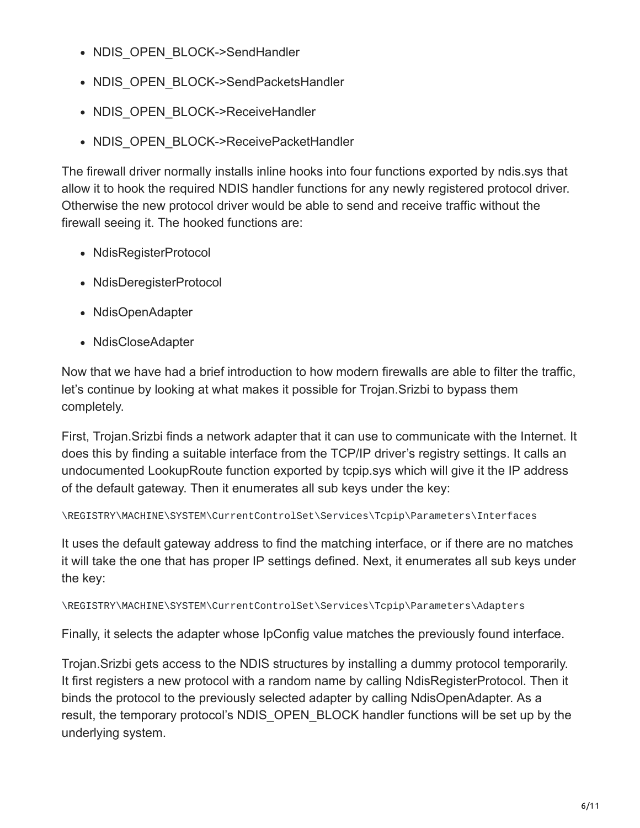- NDIS OPEN BLOCK->SendHandler
- NDIS OPEN BLOCK->SendPacketsHandler
- NDIS OPEN BLOCK->ReceiveHandler
- NDIS OPEN BLOCK->ReceivePacketHandler

The firewall driver normally installs inline hooks into four functions exported by ndis.sys that allow it to hook the required NDIS handler functions for any newly registered protocol driver. Otherwise the new protocol driver would be able to send and receive traffic without the firewall seeing it. The hooked functions are:

- NdisRegisterProtocol
- NdisDeregisterProtocol
- NdisOpenAdapter
- NdisCloseAdapter

Now that we have had a brief introduction to how modern firewalls are able to filter the traffic, let's continue by looking at what makes it possible for Trojan.Srizbi to bypass them completely.

First, Trojan.Srizbi finds a network adapter that it can use to communicate with the Internet. It does this by finding a suitable interface from the TCP/IP driver's registry settings. It calls an undocumented LookupRoute function exported by tcpip.sys which will give it the IP address of the default gateway. Then it enumerates all sub keys under the key:

\REGISTRY\MACHINE\SYSTEM\CurrentControlSet\Services\Tcpip\Parameters\Interfaces

It uses the default gateway address to find the matching interface, or if there are no matches it will take the one that has proper IP settings defined. Next, it enumerates all sub keys under the key:

\REGISTRY\MACHINE\SYSTEM\CurrentControlSet\Services\Tcpip\Parameters\Adapters

Finally, it selects the adapter whose IpConfig value matches the previously found interface.

Trojan.Srizbi gets access to the NDIS structures by installing a dummy protocol temporarily. It first registers a new protocol with a random name by calling NdisRegisterProtocol. Then it binds the protocol to the previously selected adapter by calling NdisOpenAdapter. As a result, the temporary protocol's NDIS\_OPEN\_BLOCK handler functions will be set up by the underlying system.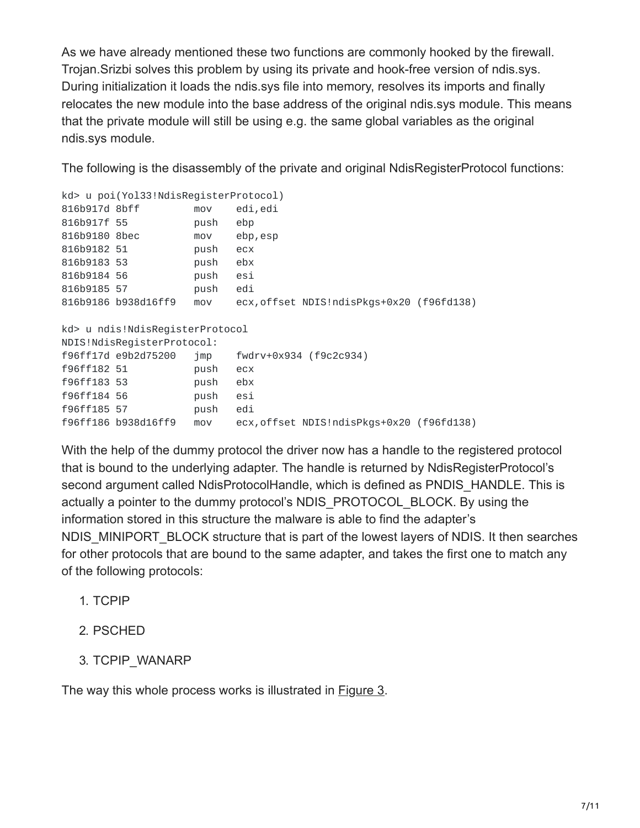As we have already mentioned these two functions are commonly hooked by the firewall. Trojan.Srizbi solves this problem by using its private and hook-free version of ndis.sys. During initialization it loads the ndis.sys file into memory, resolves its imports and finally relocates the new module into the base address of the original ndis.sys module. This means that the private module will still be using e.g. the same global variables as the original ndis.sys module.

The following is the disassembly of the private and original NdisRegisterProtocol functions:

```
kd> u poi(Yol33!NdisRegisterProtocol)
816b917d 8bff mov edi,edi
816b917f 55 push ebp
816b9180 8bec mov ebp,esp
816b9182 51 push ecx
816b9183 53 push ebx
816b9184 56 push esi
816b9185 57 push edi
816b9186 b938d16ff9 mov ecx,offset NDIS!ndisPkgs+0x20 (f96fd138)
kd> u ndis!NdisRegisterProtocol
NDIS!NdisRegisterProtocol:
f96ff17d e9b2d75200 jmp fwdrv+0x934 (f9c2c934)
f96ff182 51 push ecx
f96ff183 53 push ebx
f96ff184 56 push esi
f96ff185 57 push edi
f96ff186 b938d16ff9 mov ecx,offset NDIS!ndisPkgs+0x20 (f96fd138)
```
With the help of the dummy protocol the driver now has a handle to the registered protocol that is bound to the underlying adapter. The handle is returned by NdisRegisterProtocol's second argument called NdisProtocolHandle, which is defined as PNDIS HANDLE. This is actually a pointer to the dummy protocol's NDIS\_PROTOCOL\_BLOCK. By using the information stored in this structure the malware is able to find the adapter's NDIS MINIPORT BLOCK structure that is part of the lowest layers of NDIS. It then searches for other protocols that are bound to the same adapter, and takes the first one to match any of the following protocols:

- 1. TCPIP
- 2. PSCHED
- 3. TCPIP\_WANARP

The way this whole process works is illustrated in Figure 3.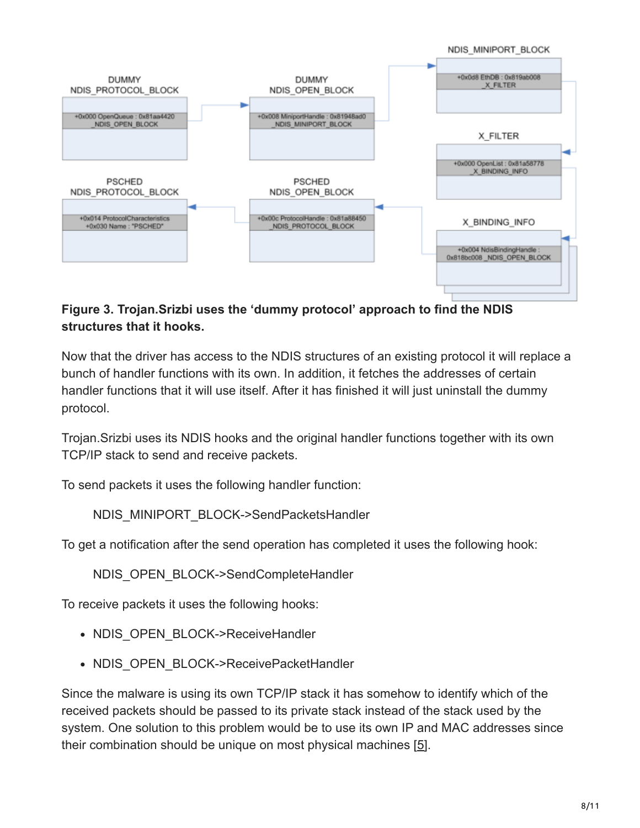

#### **Figure 3. Trojan.Srizbi uses the 'dummy protocol' approach to find the NDIS structures that it hooks.**

Now that the driver has access to the NDIS structures of an existing protocol it will replace a bunch of handler functions with its own. In addition, it fetches the addresses of certain handler functions that it will use itself. After it has finished it will just uninstall the dummy protocol.

Trojan.Srizbi uses its NDIS hooks and the original handler functions together with its own TCP/IP stack to send and receive packets.

To send packets it uses the following handler function:

NDIS\_MINIPORT\_BLOCK->SendPacketsHandler

To get a notification after the send operation has completed it uses the following hook:

NDIS\_OPEN\_BLOCK->SendCompleteHandler

To receive packets it uses the following hooks:

- NDIS OPEN BLOCK->ReceiveHandler
- NDIS OPEN BLOCK->ReceivePacketHandler

Since the malware is using its own TCP/IP stack it has somehow to identify which of the received packets should be passed to its private stack instead of the stack used by the system. One solution to this problem would be to use its own IP and MAC addresses since their combination should be unique on most physical machines [5].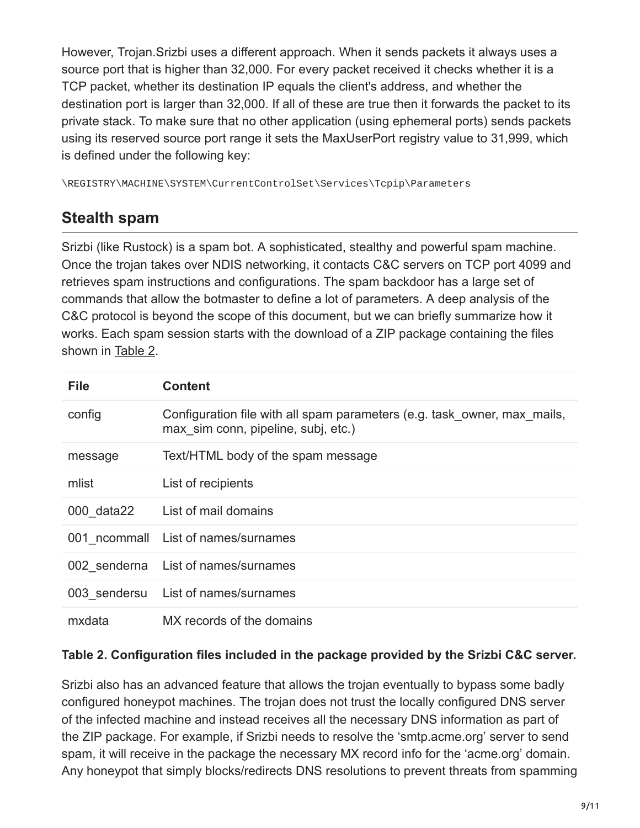However, Trojan.Srizbi uses a different approach. When it sends packets it always uses a source port that is higher than 32,000. For every packet received it checks whether it is a TCP packet, whether its destination IP equals the client's address, and whether the destination port is larger than 32,000. If all of these are true then it forwards the packet to its private stack. To make sure that no other application (using ephemeral ports) sends packets using its reserved source port range it sets the MaxUserPort registry value to 31,999, which is defined under the following key:

\REGISTRY\MACHINE\SYSTEM\CurrentControlSet\Services\Tcpip\Parameters

### **Stealth spam**

Srizbi (like Rustock) is a spam bot. A sophisticated, stealthy and powerful spam machine. Once the trojan takes over NDIS networking, it contacts C&C servers on TCP port 4099 and retrieves spam instructions and configurations. The spam backdoor has a large set of commands that allow the botmaster to define a lot of parameters. A deep analysis of the C&C protocol is beyond the scope of this document, but we can briefly summarize how it works. Each spam session starts with the download of a ZIP package containing the files shown in Table 2.

| <b>File</b> | <b>Content</b>                                                                                                  |
|-------------|-----------------------------------------------------------------------------------------------------------------|
| config      | Configuration file with all spam parameters (e.g. task_owner, max_mails,<br>max sim conn, pipeline, subj, etc.) |
| message     | Text/HTML body of the spam message                                                                              |
| mlist       | List of recipients                                                                                              |
| 000 data22  | List of mail domains                                                                                            |
|             | 001 ncommall List of names/surnames                                                                             |
|             | 002 senderna List of names/surnames                                                                             |
|             | 003 sendersu List of names/surnames                                                                             |
| mxdata      | MX records of the domains                                                                                       |

#### **Table 2. Configuration files included in the package provided by the Srizbi C&C server.**

Srizbi also has an advanced feature that allows the trojan eventually to bypass some badly configured honeypot machines. The trojan does not trust the locally configured DNS server of the infected machine and instead receives all the necessary DNS information as part of the ZIP package. For example, if Srizbi needs to resolve the 'smtp.acme.org' server to send spam, it will receive in the package the necessary MX record info for the 'acme.org' domain. Any honeypot that simply blocks/redirects DNS resolutions to prevent threats from spamming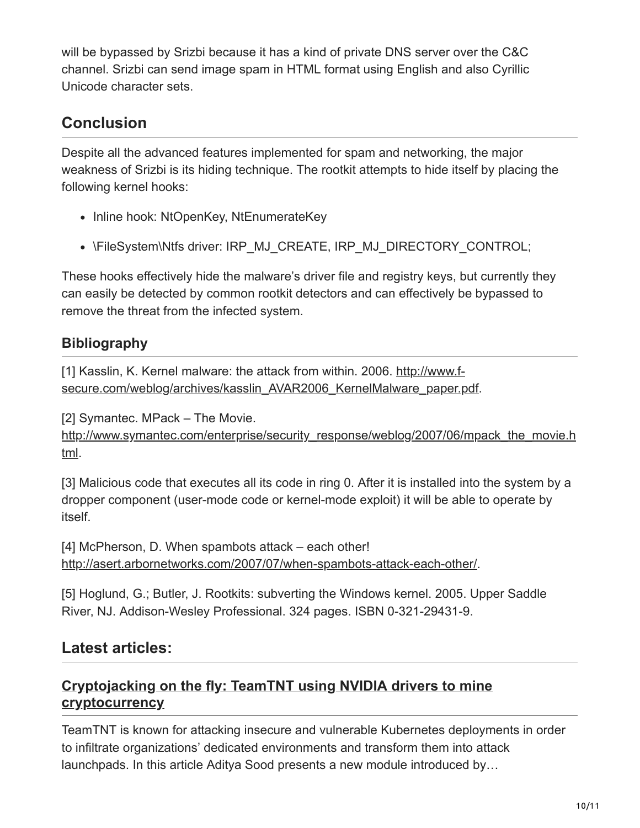will be bypassed by Srizbi because it has a kind of private DNS server over the C&C channel. Srizbi can send image spam in HTML format using English and also Cyrillic Unicode character sets.

## **Conclusion**

Despite all the advanced features implemented for spam and networking, the major weakness of Srizbi is its hiding technique. The rootkit attempts to hide itself by placing the following kernel hooks:

- Inline hook: NtOpenKey, NtEnumerateKey
- \FileSystem\Ntfs driver: IRP\_MJ\_CREATE, IRP\_MJ\_DIRECTORY\_CONTROL;

These hooks effectively hide the malware's driver file and registry keys, but currently they can easily be detected by common rootkit detectors and can effectively be bypassed to remove the threat from the infected system.

### **Bibliography**

[1] Kasslin, K. Kernel malware: the attack from within. 2006. http://www.f[secure.com/weblog/archives/kasslin\\_AVAR2006\\_KernelMalware\\_paper.pdf](http://www.f-secure.com/weblog/archives/kasslin_AVAR2006_KernelMalware_paper.pdf).

[2] Symantec. MPack – The Movie.

[http://www.symantec.com/enterprise/security\\_response/weblog/2007/06/mpack\\_the\\_movie.h](https://www.symantec.com/enterprise/security_response/weblog/2007/06/mpack_the_movie.html) tml.

[3] Malicious code that executes all its code in ring 0. After it is installed into the system by a dropper component (user-mode code or kernel-mode exploit) it will be able to operate by itself.

[4] McPherson, D. When spambots attack – each other! [http://asert.arbornetworks.com/2007/07/when-spambots-attack-each-other/.](http://asert.arbornetworks.com/2007/07/when-spambots-attack-each-other/)

[5] Hoglund, G.; Butler, J. Rootkits: subverting the Windows kernel. 2005. Upper Saddle River, NJ. Addison-Wesley Professional. 324 pages. ISBN 0-321-29431-9.

### **Latest articles:**

### **[Cryptojacking on the fly: TeamTNT using NVIDIA drivers to mine](https://www.virusbulletin.com/virusbulletin/2022/04/cryptojacking-fly-teamtnt-using-nvidia-drivers-mine-cryptocurrency/) cryptocurrency**

TeamTNT is known for attacking insecure and vulnerable Kubernetes deployments in order to infiltrate organizations' dedicated environments and transform them into attack launchpads. In this article Aditya Sood presents a new module introduced by…